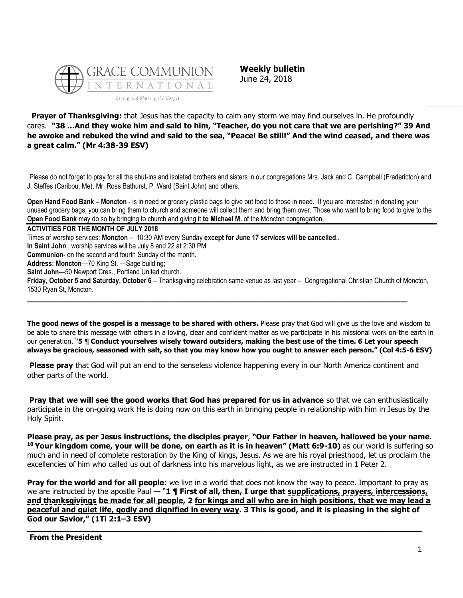

**Weekly bulletin** June 24, 2018

**Prayer of Thanksgiving:** that Jesus has the capacity to calm any storm we may find ourselves in. He profoundly cares. **"38 …And they woke him and said to him, "Teacher, do you not care that we are perishing?" 39 And he awoke and rebuked the wind and said to the sea, "Peace! Be still!" And the wind ceased, and there was a great calm." (Mr 4:38-39 ESV)**

Please do not forget to pray for all the shut-ins and isolated brothers and sisters in our congregations Mrs. Jack and C. Campbell (Fredericton) and J. Steffes (Caribou, Me), Mr. Ross Bathurst, P. Ward (Saint John) and others.

**Open Hand Food Bank – Moncton** - is in need or grocery plastic bags to give out food to those in need. If you are interested in donating your unused grocery bags, you can bring them to church and someone will collect them and bring them over. Those who want to bring food to give to the **Open Food Bank** may do so by bringing to church and giving it **to Michael M.** of the Moncton congregation.

**ACTIVITIES FOR THE MONTH OF JULY 2018** Times of worship services: **Moncton** – 10:30 AM every Sunday **except for June 17 services will be cancelled**.. **In Saint John** , worship services will be July 8 and 22 at 2:30 PM **Communion**- on the second and fourth Sunday of the month. **Address: Moncton**—70 King St. —Sage building; **Saint John**—50 Newport Cres., Portland United church. **Friday, October 5 and Saturday, October 6** – Thanksgiving celebration same venue as last year – Congregational Christian Church of Moncton, 1530 Ryan St, Moncton.

**\_\_\_\_\_\_\_\_\_\_\_\_\_\_\_\_\_\_\_\_\_\_\_\_\_\_\_\_\_\_\_\_\_\_\_\_\_\_\_\_\_\_\_\_\_\_\_\_\_\_\_\_\_\_\_\_\_\_\_\_\_\_\_\_\_\_\_\_\_\_\_\_\_\_\_\_\_\_\_**

**The good news of the gospel is a message to be shared with others.** Please pray that God will give us the love and wisdom to be able to share this message with others in a loving, clear and confident matter as we participate in his missional work on the earth in our generation. "**5 ¶ Conduct yourselves wisely toward outsiders, making the best use of the time. 6 Let your speech always be gracious, seasoned with salt, so that you may know how you ought to answer each person." (Col 4:5-6 ESV)**

**Please pray** that God will put an end to the senseless violence happening every in our North America continent and other parts of the world.

**Pray that we will see the good works that God has prepared for us in advance** so that we can enthusiastically participate in the on-going work He is doing now on this earth in bringing people in relationship with him in Jesus by the Holy Spirit.

**Please pray, as per Jesus instructions, the disciples prayer**, **"Our Father in heaven, hallowed be your name. <sup>10</sup> Your kingdom come, your will be done, on earth as it is in heaven" (Matt 6:9-10)** as our world is suffering so much and in need of complete restoration by the King of kings, Jesus. As we are his royal priesthood, let us proclaim the excellencies of him who called us out of darkness into his marvelous light, as we are instructed in 1 Peter 2.

**Pray for the world and for all people**: we live in a world that does not know the way to peace. Important to pray as we are instructed by the apostle Paul — "**1 ¶ First of all, then, I urge that supplications, prayers, intercessions, and thanksgivings be made for all people, 2 for kings and all who are in high positions, that we may lead a peaceful and quiet life, godly and dignified in every way. 3 This is good, and it is pleasing in the sight of God our Savior," (1Ti 2:1–3 ESV)**

**\_\_\_\_\_\_\_\_\_\_\_\_\_\_\_\_\_\_\_\_\_\_\_\_\_\_\_\_\_\_\_\_\_\_\_\_\_\_\_\_\_\_\_\_\_\_\_\_\_\_\_\_\_\_\_\_\_\_\_\_\_\_\_\_\_\_\_\_\_\_\_\_\_\_\_\_\_\_\_\_\_\_**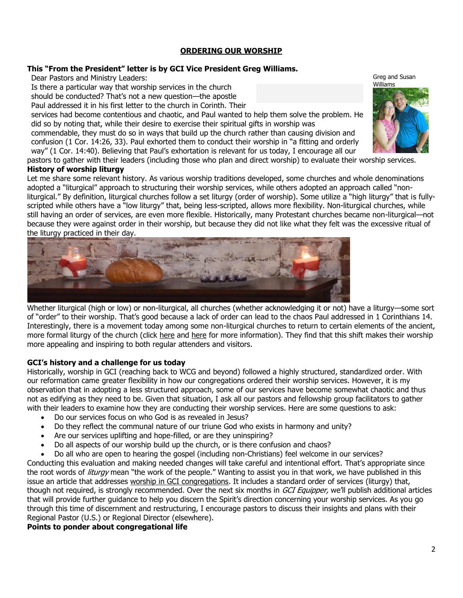## **[ORDERING OUR WORSHIP](https://update.gci.org/2018/06/ordering-our-worship/)**

## **This "From the President" letter is by GCI Vice President Greg Williams.**

Dear Pastors and Ministry Leaders:

Is there a particular way that worship services in the church

should be conducted? That's not a new question—the apostle

Paul addressed it in his first letter to the church in Corinth. Their

services had become contentious and chaotic, and Paul wanted to help them solve the problem. He did so by noting that, while their desire to exercise their spiritual gifts in worship was

commendable, they must do so in ways that build up the church rather than causing division and confusion (1 Cor. 14:26, 33). Paul exhorted them to conduct their worship in "a fitting and orderly way" (1 Cor. 14:40). Believing that Paul's exhortation is relevant for us today, I encourage all our

pastors to gather with their leaders (including those who plan and direct worship) to evaluate their worship services.

## **History of worship liturgy**

Let me share some relevant history. As various worship traditions developed, some churches and whole denominations adopted a "liturgical" approach to structuring their worship services, while others adopted an approach called "nonliturgical." By definition, liturgical churches follow a set liturgy (order of worship). Some utilize a "high liturgy" that is fullyscripted while others have a "low liturgy" that, being less-scripted, allows more flexibility. Non-liturgical churches, while still having an order of services, are even more flexible. Historically, many Protestant churches became non-liturgical—not because they were against order in their worship, but because they did not like what they felt was the excessive ritual of the liturgy practiced in their day.



Whether liturgical (high or low) or non-liturgical, all churches (whether acknowledging it or not) have a liturgy—some sort of "order" to their worship. That's good because a lack of order can lead to the chaos Paul addressed in 1 Corinthians 14. Interestingly, there is a movement today among some non-liturgical churches to return to certain elements of the ancient, more formal liturgy of the church (click [here](https://www.ministrymagazine.org/archive/1970/08/liturgical-or-free) and [here](https://www.christianitytoday.com/ct/2018/june/put-corporate-back-in-corporate-worship.html) for more information). They find that this shift makes their worship more appealing and inspiring to both regular attenders and visitors.

# **GCI's history and a challenge for us today**

Historically, worship in GCI (reaching back to WCG and beyond) followed a highly structured, standardized order. With our reformation came greater flexibility in how our congregations ordered their worship services. However, it is my observation that in adopting a less structured approach, some of our services have become somewhat chaotic and thus not as edifying as they need to be. Given that situation, I ask all our pastors and fellowship group facilitators to gather with their leaders to examine how they are conducting their worship services. Here are some questions to ask:

- Do our services focus on who God is as revealed in Jesus?
- Do they reflect the communal nature of our triune God who exists in harmony and unity?
- Are our services uplifting and hope-filled, or are they uninspiring?
- Do all aspects of our worship build up the church, or is there confusion and chaos?
- Do all who are open to hearing the gospel (including non-Christians) feel welcome in our services?

Conducting this evaluation and making needed changes will take careful and intentional effort. That's appropriate since the root words of *liturgy* mean "the work of the people." Wanting to assist you in that work, we have published in this issue an article that addresses [worship in GCI congregations.](https://update.gci.org/?p=66640) It includes a standard order of services (liturgy) that, though not required, is strongly recommended. Over the next six months in GCI Equipper, we'll publish additional articles that will provide further guidance to help you discern the Spirit's direction concerning your worship services. As you go through this time of discernment and restructuring, I encourage pastors to discuss their insights and plans with their Regional Pastor (U.S.) or Regional Director (elsewhere).

# **Points to ponder about congregational life**

Greg and Susan Williams

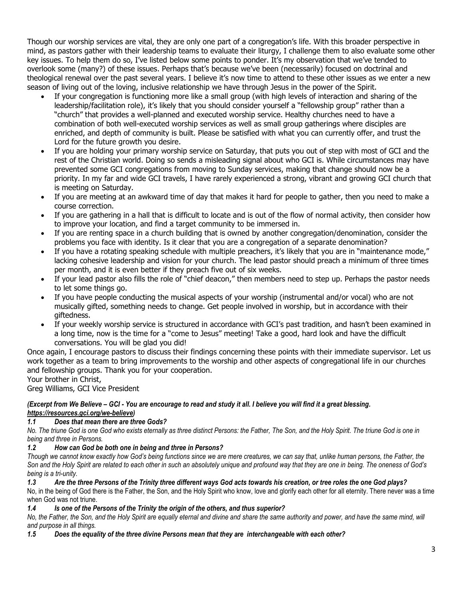Though our worship services are vital, they are only one part of a congregation's life. With this broader perspective in mind, as pastors gather with their leadership teams to evaluate their liturgy, I challenge them to also evaluate some other key issues. To help them do so, I've listed below some points to ponder. It's my observation that we've tended to overlook some (many?) of these issues. Perhaps that's because we've been (necessarily) focused on doctrinal and theological renewal over the past several years. I believe it's now time to attend to these other issues as we enter a new season of living out of the loving, inclusive relationship we have through Jesus in the power of the Spirit.

- If your congregation is functioning more like a small group (with high levels of interaction and sharing of the leadership/facilitation role), it's likely that you should consider yourself a "fellowship group" rather than a "church" that provides a well-planned and executed worship service. Healthy churches need to have a combination of both well-executed worship services as well as small group gatherings where disciples are enriched, and depth of community is built. Please be satisfied with what you can currently offer, and trust the Lord for the future growth you desire.
- If you are holding your primary worship service on Saturday, that puts you out of step with most of GCI and the rest of the Christian world. Doing so sends a misleading signal about who GCI is. While circumstances may have prevented some GCI congregations from moving to Sunday services, making that change should now be a priority. In my far and wide GCI travels, I have rarely experienced a strong, vibrant and growing GCI church that is meeting on Saturday.
- If you are meeting at an awkward time of day that makes it hard for people to gather, then you need to make a course correction.
- If you are gathering in a hall that is difficult to locate and is out of the flow of normal activity, then consider how to improve your location, and find a target community to be immersed in.
- If you are renting space in a church building that is owned by another congregation/denomination, consider the problems you face with identity. Is it clear that you are a congregation of a separate denomination?
- If you have a rotating speaking schedule with multiple preachers, it's likely that you are in "maintenance mode," lacking cohesive leadership and vision for your church. The lead pastor should preach a minimum of three times per month, and it is even better if they preach five out of six weeks.
- If your lead pastor also fills the role of "chief deacon," then members need to step up. Perhaps the pastor needs to let some things go.
- If you have people conducting the musical aspects of your worship (instrumental and/or vocal) who are not musically gifted, something needs to change. Get people involved in worship, but in accordance with their giftedness.
- If your weekly worship service is structured in accordance with GCI's past tradition, and hasn't been examined in a long time, now is the time for a "come to Jesus" meeting! Take a good, hard look and have the difficult conversations. You will be glad you did!

Once again, I encourage pastors to discuss their findings concerning these points with their immediate supervisor. Let us work together as a team to bring improvements to the worship and other aspects of congregational life in our churches and fellowship groups. Thank you for your cooperation.

# Your brother in Christ,

Greg Williams, GCI Vice President

## *(Excerpt from We Believe – GCI - You are encourage to read and study it all. I believe you will find it a great blessing. [https://resources.gci.org/we-believe\)](https://resources.gci.org/we-believe)*

## *1.1 Does that mean there are three Gods?*

*No. The triune God is one God who exists eternally as three distinct Persons: the Father, The Son, and the Holy Spirit. The triune God is one in being and three in Persons.*

## *1.2 How can God be both one in being and three in Persons?*

*Though we cannot know exactly how God's being functions since we are mere creatures, we can say that, unlike human persons, the Father, the Son and the Holy Spirit are related to each other in such an absolutely unique and profound way that they are one in being. The oneness of God's being is a tri-unity.*

# *1.3 Are the three Persons of the Trinity three different ways God acts towards his creation, or tree roles the one God plays?*

No, in the being of God there is the Father, the Son, and the Holy Spirit who know, love and glorify each other for all eternity. There never was a time when God was not triune.

## *1.4 Is one of the Persons of the Trinity the origin of the others, and thus superior?*

No, the Father, the Son, and the Holy Spirit are equally eternal and divine and share the same authority and power, and have the same mind, will *and purpose in all things.*

# *1.5 Does the equality of the three divine Persons mean that they are interchangeable with each other?*